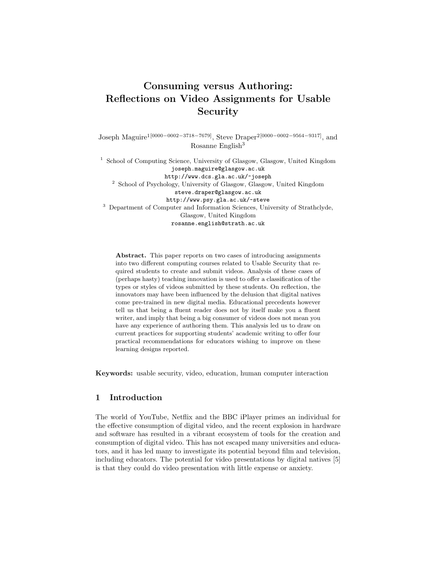# Consuming versus Authoring: Reflections on Video Assignments for Usable Security

Joseph Maguire1[0000−0002−3718−7679], Steve Draper2[0000−0002−9564−9317], and Rosanne English<sup>3</sup>

<sup>1</sup> School of Computing Science, University of Glasgow, Glasgow, United Kingdom joseph.maguire@glasgow.ac.uk http://www.dcs.gla.ac.uk/~joseph <sup>2</sup> School of Psychology, University of Glasgow, Glasgow, United Kingdom steve.draper@glasgow.ac.uk http://www.psy.gla.ac.uk/~steve <sup>3</sup> Department of Computer and Information Sciences, University of Strathclyde, Glasgow, United Kingdom rosanne.english@strath.ac.uk

Abstract. This paper reports on two cases of introducing assignments into two different computing courses related to Usable Security that required students to create and submit videos. Analysis of these cases of (perhaps hasty) teaching innovation is used to offer a classification of the types or styles of videos submitted by these students. On reflection, the innovators may have been influenced by the delusion that digital natives come pre-trained in new digital media. Educational precedents however tell us that being a fluent reader does not by itself make you a fluent writer, and imply that being a big consumer of videos does not mean you have any experience of authoring them. This analysis led us to draw on current practices for supporting students' academic writing to offer four practical recommendations for educators wishing to improve on these learning designs reported.

Keywords: usable security, video, education, human computer interaction

# 1 Introduction

The world of YouTube, Netflix and the BBC iPlayer primes an individual for the effective consumption of digital video, and the recent explosion in hardware and software has resulted in a vibrant ecosystem of tools for the creation and consumption of digital video. This has not escaped many universities and educators, and it has led many to investigate its potential beyond film and television, including educators. The potential for video presentations by digital natives [5] is that they could do video presentation with little expense or anxiety.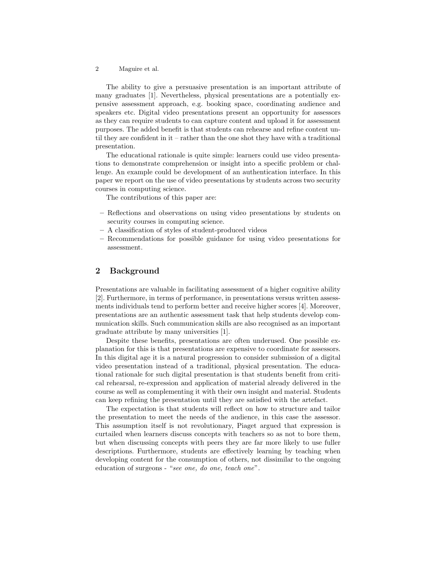The ability to give a persuasive presentation is an important attribute of many graduates [1]. Nevertheless, physical presentations are a potentially expensive assessment approach, e.g. booking space, coordinating audience and speakers etc. Digital video presentations present an opportunity for assessors as they can require students to can capture content and upload it for assessment purposes. The added benefit is that students can rehearse and refine content until they are confident in it – rather than the one shot they have with a traditional presentation.

The educational rationale is quite simple: learners could use video presentations to demonstrate comprehension or insight into a specific problem or challenge. An example could be development of an authentication interface. In this paper we report on the use of video presentations by students across two security courses in computing science.

The contributions of this paper are:

- Reflections and observations on using video presentations by students on security courses in computing science.
- A classification of styles of student-produced videos
- Recommendations for possible guidance for using video presentations for assessment.

## 2 Background

Presentations are valuable in facilitating assessment of a higher cognitive ability [2]. Furthermore, in terms of performance, in presentations versus written assessments individuals tend to perform better and receive higher scores [4]. Moreover, presentations are an authentic assessment task that help students develop communication skills. Such communication skills are also recognised as an important graduate attribute by many universities [1].

Despite these benefits, presentations are often underused. One possible explanation for this is that presentations are expensive to coordinate for assessors. In this digital age it is a natural progression to consider submission of a digital video presentation instead of a traditional, physical presentation. The educational rationale for such digital presentation is that students benefit from critical rehearsal, re-expression and application of material already delivered in the course as well as complementing it with their own insight and material. Students can keep refining the presentation until they are satisfied with the artefact.

The expectation is that students will reflect on how to structure and tailor the presentation to meet the needs of the audience, in this case the assessor. This assumption itself is not revolutionary, Piaget argued that expression is curtailed when learners discuss concepts with teachers so as not to bore them, but when discussing concepts with peers they are far more likely to use fuller descriptions. Furthermore, students are effectively learning by teaching when developing content for the consumption of others, not dissimilar to the ongoing education of surgeons - "see one, do one, teach one".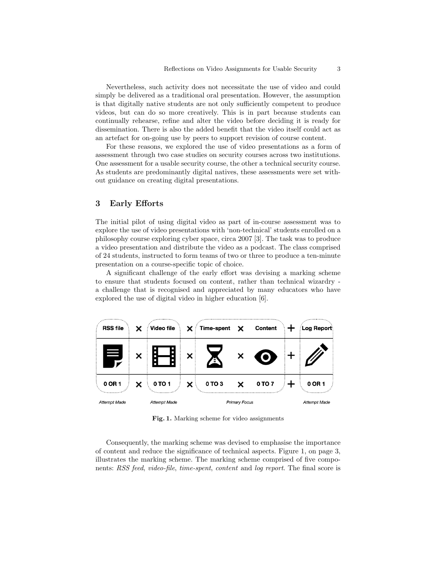Nevertheless, such activity does not necessitate the use of video and could simply be delivered as a traditional oral presentation. However, the assumption is that digitally native students are not only sufficiently competent to produce videos, but can do so more creatively. This is in part because students can continually rehearse, refine and alter the video before deciding it is ready for dissemination. There is also the added benefit that the video itself could act as an artefact for on-going use by peers to support revision of course content.

For these reasons, we explored the use of video presentations as a form of assessment through two case studies on security courses across two institutions. One assessment for a usable security course, the other a technical security course. As students are predominantly digital natives, these assessments were set without guidance on creating digital presentations.

## 3 Early Efforts

The initial pilot of using digital video as part of in-course assessment was to explore the use of video presentations with 'non-technical' students enrolled on a philosophy course exploring cyber space, circa 2007 [3]. The task was to produce a video presentation and distribute the video as a podcast. The class comprised of 24 students, instructed to form teams of two or three to produce a ten-minute presentation on a course-specific topic of choice.

A significant challenge of the early effort was devising a marking scheme to ensure that students focused on content, rather than technical wizardry a challenge that is recognised and appreciated by many educators who have explored the use of digital video in higher education [6].



Fig. 1. Marking scheme for video assignments

Consequently, the marking scheme was devised to emphasise the importance of content and reduce the significance of technical aspects. Figure 1, on page 3, illustrates the marking scheme. The marking scheme comprised of five components: RSS feed, video-file, time-spent, content and log report. The final score is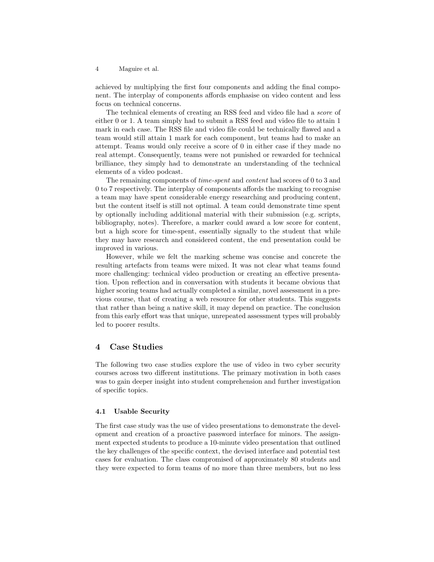achieved by multiplying the first four components and adding the final component. The interplay of components affords emphasise on video content and less focus on technical concerns.

The technical elements of creating an RSS feed and video file had a score of either 0 or 1. A team simply had to submit a RSS feed and video file to attain 1 mark in each case. The RSS file and video file could be technically flawed and a team would still attain 1 mark for each component, but teams had to make an attempt. Teams would only receive a score of 0 in either case if they made no real attempt. Consequently, teams were not punished or rewarded for technical brilliance, they simply had to demonstrate an understanding of the technical elements of a video podcast.

The remaining components of time-spent and content had scores of 0 to 3 and 0 to 7 respectively. The interplay of components affords the marking to recognise a team may have spent considerable energy researching and producing content, but the content itself is still not optimal. A team could demonstrate time spent by optionally including additional material with their submission (e.g. scripts, bibliography, notes). Therefore, a marker could award a low score for content, but a high score for time-spent, essentially signally to the student that while they may have research and considered content, the end presentation could be improved in various.

However, while we felt the marking scheme was concise and concrete the resulting artefacts from teams were mixed. It was not clear what teams found more challenging: technical video production or creating an effective presentation. Upon reflection and in conversation with students it became obvious that higher scoring teams had actually completed a similar, novel assessment in a previous course, that of creating a web resource for other students. This suggests that rather than being a native skill, it may depend on practice. The conclusion from this early effort was that unique, unrepeated assessment types will probably led to poorer results.

## 4 Case Studies

The following two case studies explore the use of video in two cyber security courses across two different institutions. The primary motivation in both cases was to gain deeper insight into student comprehension and further investigation of specific topics.

#### 4.1 Usable Security

The first case study was the use of video presentations to demonstrate the development and creation of a proactive password interface for minors. The assignment expected students to produce a 10-minute video presentation that outlined the key challenges of the specific context, the devised interface and potential test cases for evaluation. The class compromised of approximately 80 students and they were expected to form teams of no more than three members, but no less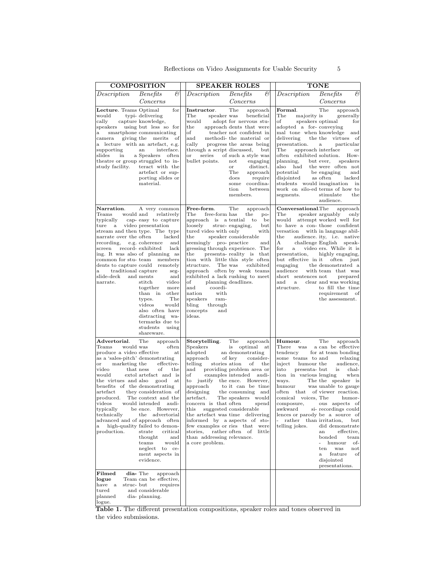| <b>COMPOSITION</b>                                                                                                                                                                                                                                                                                                                    |                                                                                                                                                                                                                                                                                                                                                                                                                                                                                   | <b>SPEAKER ROLES</b>                                                                                                                                                                                                                                                  |                                                                                                                                                                                                                                                                                                                                                                                                                           | <b>TONE</b>                                                                                                                                                                                                                                                                                                                                                                                                                                                                                                                                                                                                                                                                                                                      |  |
|---------------------------------------------------------------------------------------------------------------------------------------------------------------------------------------------------------------------------------------------------------------------------------------------------------------------------------------|-----------------------------------------------------------------------------------------------------------------------------------------------------------------------------------------------------------------------------------------------------------------------------------------------------------------------------------------------------------------------------------------------------------------------------------------------------------------------------------|-----------------------------------------------------------------------------------------------------------------------------------------------------------------------------------------------------------------------------------------------------------------------|---------------------------------------------------------------------------------------------------------------------------------------------------------------------------------------------------------------------------------------------------------------------------------------------------------------------------------------------------------------------------------------------------------------------------|----------------------------------------------------------------------------------------------------------------------------------------------------------------------------------------------------------------------------------------------------------------------------------------------------------------------------------------------------------------------------------------------------------------------------------------------------------------------------------------------------------------------------------------------------------------------------------------------------------------------------------------------------------------------------------------------------------------------------------|--|
| Description                                                                                                                                                                                                                                                                                                                           | C<br>Benefits<br>Concerns                                                                                                                                                                                                                                                                                                                                                                                                                                                         | Description                                                                                                                                                                                                                                                           | $\mathcal{C}$<br><b>Benefits</b><br>Concerns                                                                                                                                                                                                                                                                                                                                                                              | $\mathcal{C}$<br>Description<br>Benefits<br>Concerns                                                                                                                                                                                                                                                                                                                                                                                                                                                                                                                                                                                                                                                                             |  |
| Lecture. Teams Optimal<br>would<br>cally<br>speakers<br>a<br>camera<br>supporting<br>slides<br>in<br>study facility.                                                                                                                                                                                                                  | for<br>typi-delivering<br>capture knowledge,<br>using but less so for<br>smartphone communicating<br>giving the merits<br>of<br>lecture with an artefact, e.g.<br>interface.<br>an<br>a Speakers<br>often<br>theatre or group struggled to in-<br>teract with the<br>artefact or sup-<br>porting slides or<br>material.                                                                                                                                                           | Instructor.<br>The<br>speaker was<br>would<br>the<br>οf<br>and<br>cally<br>through a script discussed,<br><b>or</b><br>series<br>bullet points.                                                                                                                       | The<br>approach<br>beneficial<br>adopt for nervous stu-<br>approach dents that were<br>teacher not confident in<br>methodi-the material or<br>progress the areas being<br>but<br>of such a style was<br>not<br>engaging<br>distinct.<br><b>or</b><br>The<br>approach<br>does<br>require<br>coordina-<br>some<br>between<br>tion<br>members.                                                                               | The<br>Formal.<br>approach<br>The<br>majority is<br>generally<br>of<br>speakers optimal<br>for<br>adopted a for-conveying<br>mal tone when knowledge<br>and<br>delivering<br>the the virtues<br>– of<br>presentation.<br>particular<br>$\mathbf{a}$<br>$\rm The$<br>approach interface<br><b>or</b><br>often exhibited solution.<br>How-<br>planning,<br>speakers<br>but ever,<br>also<br>had<br>the were often not<br>potential<br>be engaging<br>and<br>disjointed<br>as often<br>lacked<br>students would imagination<br>in<br>work on silo-ed terms of how to<br>segments.<br>stimulate<br>the<br>audience.                                                                                                                  |  |
| Narration.<br>would and<br>$\mathrm{Teams}$<br>typically<br>$_{\rm{ture}}$<br>$\mathbf{a}$<br>narrate over the often<br>recording,<br>screen<br>common for stu-team<br>traditional capture<br>$\mathbf{a}$<br>$\mathrm{slide}\textrm{-}\mathrm{deck}$<br>narrate.                                                                     | A very common<br>relatively<br>cap-easy to capture<br>video presentation<br>stream and then type. The type<br>lacked<br>e.g. coherence<br>and<br>record-exhibited<br>lack<br>ing. It was also of planning as<br>members<br>dents to capture could remotely<br>seg-<br>and ments<br>and<br>stitch<br>video<br>together<br>more<br>than in<br>other<br>The<br>types.<br>videos<br>would<br>also often have<br>distracting wa-<br>termarks due to<br>students<br>using<br>shareware. | Free-form.<br>The<br>free-form has<br>approach is a tential<br>loosely<br>tured video with only<br>the<br>seemingly pro- practice<br>the<br>structure.<br>of<br>and<br>coordi-<br>nation<br>with<br>speakers<br>ram-<br>bling<br>through<br>concepts<br>and<br>ideas. | The<br>approach<br>the<br>$po-$<br>$\mathbf{to}$<br>be<br>struc-engaging,<br>but<br>with<br>speaker considerable<br>and<br>gressing through experience. The<br>presenta-reality is that<br>tion with little this style often<br>The was<br>exhibited<br>approach often by weak teams<br>exhibited a lack rushing to meet<br>planning deadlines.                                                                           | $\bf Conversational.$ The<br>approach<br>$_{\rm The}$<br>speaker arguably<br>only<br>would<br>attempt worked well for<br>to have a con-those confident<br>versation<br>with in language abil-<br>the<br>audience. ity, i.e. native<br>A<br>challenge English<br>speak-<br>for<br>video ers. While it is<br>$\mathbf{a}$<br>presentation.<br>highly engaging,<br>but effective in it<br>often<br>just<br>engaging<br>the demonstrated a<br>audience<br>with team that was<br>short sentences not<br>prepared<br>and<br>clear and was working<br>$\mathbf{a}$<br>structure.<br>to fill the time<br>requirement<br>of<br>the assessment.                                                                                            |  |
| ${\bf Advertorial.}$<br>$\mathrm{Teams}$<br>would was<br>produce a video effective<br>as a 'sales-pitch' demonstrating<br>marketing the<br>or<br>video<br>would<br>the virtues and also<br>benefits of the demonstrating<br>$\arct{eract}$<br>produced.<br>$_{\rm videos}$<br>typically<br>technically<br>$\mathbf{a}$<br>production. | The<br>approach<br>often<br>at<br>effective-<br>that ness<br>of<br>the<br>extol artefact and is<br>good<br>at<br>they consideration of<br>The context and the<br>audi-<br>would intended<br>be ence.<br>However,<br>advertorial<br>the<br>advanced and of approach often<br>high-quality failed to demon-<br>strate<br>critical<br>thought<br>and<br>teams<br>would<br>neglect to ce-<br>ment aspects in<br>evidence.                                                             | Storytelling.<br>Speakers<br>adopted<br>approach<br>telling<br>stories ation<br>and<br>of<br>to justify<br>approach<br>designing<br>artefact.<br>concern is that often<br>this<br>stories,<br>than addressing relevance.<br>a core problem.                           | The<br>approach<br>is<br>optimal<br>at<br>an demonstrating<br>of key<br>consider-<br>of<br>the<br>providing problem area or<br>examples intended<br>audi-<br>the ence.<br>However,<br>to it can be time<br>the consuming and<br>The speakers would<br>spend<br>suggested considerable<br>the artefact was time delivering<br>informed by a aspects of sto-<br>few examples or ries that were<br>rather often of<br>little | Humour.<br>The<br>approach<br>There<br>a can be effective<br>was<br>tendency<br>for at team bonding<br>some teams to and<br>relaxing<br>inject<br>humour the<br>audience,<br>into<br>presenta-but<br>chal-<br>is<br>tion in various lenging<br>when<br>ways.<br>The the speaker is<br>humour<br>was unable to gauge<br>often that of viewer reaction.<br>comical voices, The<br>humor-<br>composure,<br>ous aspects of<br>awkward<br>si-recordings could<br>lences or parody be a source of<br>rather than irritation,<br>but <br>telling jokes.<br>did demonstrate<br>effective.<br>an<br>bonded<br>team<br>$\mathbf{r}$<br>humour<br>of-<br>was<br>ten<br>not<br>feature<br>οf<br>$\mathbf{a}$<br>disjointed<br>presentations. |  |
| Filmed<br>logue<br>have<br>struc-but<br>a<br>$_{\rm{tured}}$<br>planned<br>logue.                                                                                                                                                                                                                                                     | dia-The<br>approach<br>Team can be effective,<br>requires<br>and considerable<br>dia-planning.                                                                                                                                                                                                                                                                                                                                                                                    |                                                                                                                                                                                                                                                                       |                                                                                                                                                                                                                                                                                                                                                                                                                           |                                                                                                                                                                                                                                                                                                                                                                                                                                                                                                                                                                                                                                                                                                                                  |  |

Table 1. The different presentation compositions, speaker roles and tones observed in the video submissions.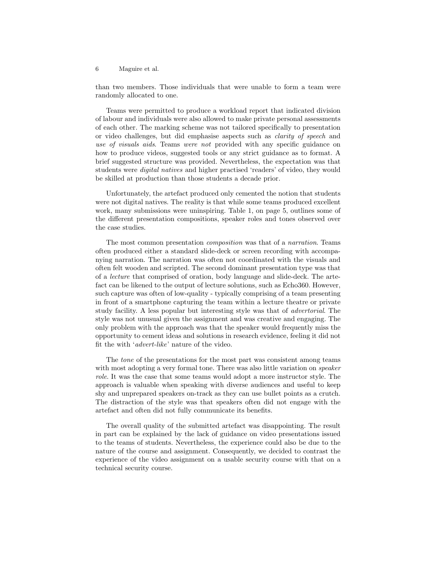than two members. Those individuals that were unable to form a team were randomly allocated to one.

Teams were permitted to produce a workload report that indicated division of labour and individuals were also allowed to make private personal assessments of each other. The marking scheme was not tailored specifically to presentation or video challenges, but did emphasise aspects such as clarity of speech and use of visuals aids. Teams were not provided with any specific guidance on how to produce videos, suggested tools or any strict guidance as to format. A brief suggested structure was provided. Nevertheless, the expectation was that students were *digital natives* and higher practised 'readers' of video, they would be skilled at production than those students a decade prior.

Unfortunately, the artefact produced only cemented the notion that students were not digital natives. The reality is that while some teams produced excellent work, many submissions were uninspiring. Table 1, on page 5, outlines some of the different presentation compositions, speaker roles and tones observed over the case studies.

The most common presentation composition was that of a narration. Teams often produced either a standard slide-deck or screen recording with accompanying narration. The narration was often not coordinated with the visuals and often felt wooden and scripted. The second dominant presentation type was that of a lecture that comprised of oration, body language and slide-deck. The artefact can be likened to the output of lecture solutions, such as Echo360. However, such capture was often of low-quality - typically comprising of a team presenting in front of a smartphone capturing the team within a lecture theatre or private study facility. A less popular but interesting style was that of advertorial. The style was not unusual given the assignment and was creative and engaging. The only problem with the approach was that the speaker would frequently miss the opportunity to cement ideas and solutions in research evidence, feeling it did not fit the with 'advert-like' nature of the video.

The tone of the presentations for the most part was consistent among teams with most adopting a very formal tone. There was also little variation on *speaker* role. It was the case that some teams would adopt a more instructor style. The approach is valuable when speaking with diverse audiences and useful to keep shy and unprepared speakers on-track as they can use bullet points as a crutch. The distraction of the style was that speakers often did not engage with the artefact and often did not fully communicate its benefits.

The overall quality of the submitted artefact was disappointing. The result in part can be explained by the lack of guidance on video presentations issued to the teams of students. Nevertheless, the experience could also be due to the nature of the course and assignment. Consequently, we decided to contrast the experience of the video assignment on a usable security course with that on a technical security course.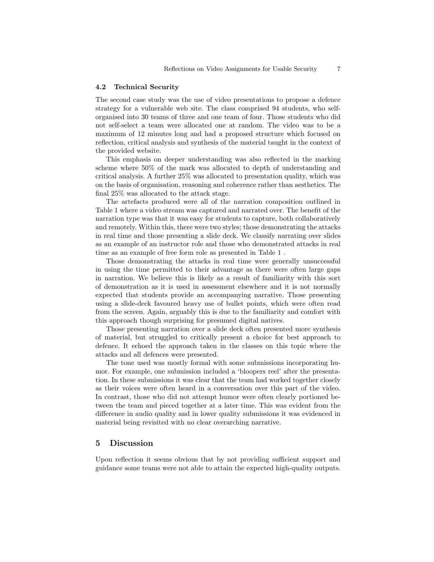#### 4.2 Technical Security

The second case study was the use of video presentations to propose a defence strategy for a vulnerable web site. The class comprised 94 students, who selforganised into 30 teams of three and one team of four. Those students who did not self-select a team were allocated one at random. The video was to be a maximum of 12 minutes long and had a proposed structure which focused on reflection, critical analysis and synthesis of the material taught in the context of the provided website.

This emphasis on deeper understanding was also reflected in the marking scheme where 50% of the mark was allocated to depth of understanding and critical analysis. A further 25% was allocated to presentation quality, which was on the basis of organisation, reasoning and coherence rather than aesthetics. The final 25% was allocated to the attack stage.

The artefacts produced were all of the narration composition outlined in Table 1 where a video stream was captured and narrated over. The benefit of the narration type was that it was easy for students to capture, both collaboratively and remotely. Within this, there were two styles; those demonstrating the attacks in real time and those presenting a slide deck. We classify narrating over slides as an example of an instructor role and those who demonstrated attacks in real time as an example of free form role as presented in Table 1 .

Those demonstrating the attacks in real time were generally unsuccessful in using the time permitted to their advantage as there were often large gaps in narration. We believe this is likely as a result of familiarity with this sort of demonstration as it is used in assessment elsewhere and it is not normally expected that students provide an accompanying narrative. Those presenting using a slide-deck favoured heavy use of bullet points, which were often read from the screen. Again, arguably this is due to the familiarity and comfort with this approach though surprising for presumed digital natives.

Those presenting narration over a slide deck often presented more synthesis of material, but struggled to critically present a choice for best approach to defence. It echoed the approach taken in the classes on this topic where the attacks and all defences were presented.

The tone used was mostly formal with some submissions incorporating humor. For example, one submission included a 'bloopers reel' after the presentation. In these submissions it was clear that the team had worked together closely as their voices were often heard in a conversation over this part of the video. In contrast, those who did not attempt humor were often clearly portioned between the team and pieced together at a later time. This was evident from the difference in audio quality and in lower quality submissions it was evidenced in material being revisited with no clear overarching narrative.

## 5 Discussion

Upon reflection it seems obvious that by not providing sufficient support and guidance some teams were not able to attain the expected high-quality outputs.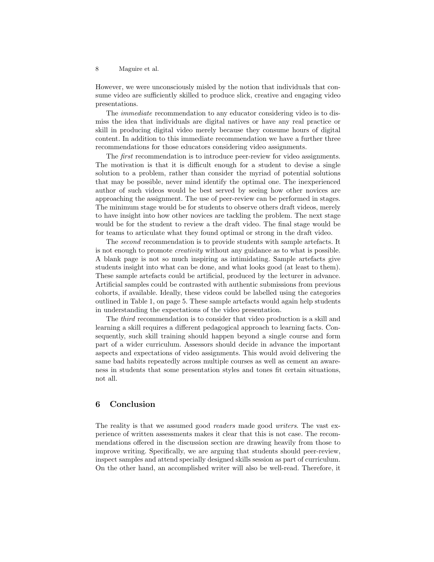However, we were unconsciously misled by the notion that individuals that consume video are sufficiently skilled to produce slick, creative and engaging video presentations.

The immediate recommendation to any educator considering video is to dismiss the idea that individuals are digital natives or have any real practice or skill in producing digital video merely because they consume hours of digital content. In addition to this immediate recommendation we have a further three recommendations for those educators considering video assignments.

The first recommendation is to introduce peer-review for video assignments. The motivation is that it is difficult enough for a student to devise a single solution to a problem, rather than consider the myriad of potential solutions that may be possible, never mind identify the optimal one. The inexperienced author of such videos would be best served by seeing how other novices are approaching the assignment. The use of peer-review can be performed in stages. The minimum stage would be for students to observe others draft videos, merely to have insight into how other novices are tackling the problem. The next stage would be for the student to review a the draft video. The final stage would be for teams to articulate what they found optimal or strong in the draft video.

The second recommendation is to provide students with sample artefacts. It is not enough to promote creativity without any guidance as to what is possible. A blank page is not so much inspiring as intimidating. Sample artefacts give students insight into what can be done, and what looks good (at least to them). These sample artefacts could be artificial, produced by the lecturer in advance. Artificial samples could be contrasted with authentic submissions from previous cohorts, if available. Ideally, these videos could be labelled using the categories outlined in Table 1, on page 5. These sample artefacts would again help students in understanding the expectations of the video presentation.

The third recommendation is to consider that video production is a skill and learning a skill requires a different pedagogical approach to learning facts. Consequently, such skill training should happen beyond a single course and form part of a wider curriculum. Assessors should decide in advance the important aspects and expectations of video assignments. This would avoid delivering the same bad habits repeatedly across multiple courses as well as cement an awareness in students that some presentation styles and tones fit certain situations, not all.

## 6 Conclusion

The reality is that we assumed good *readers* made good *writers*. The vast experience of written assessments makes it clear that this is not case. The recommendations offered in the discussion section are drawing heavily from those to improve writing. Specifically, we are arguing that students should peer-review, inspect samples and attend specially designed skills session as part of curriculum. On the other hand, an accomplished writer will also be well-read. Therefore, it